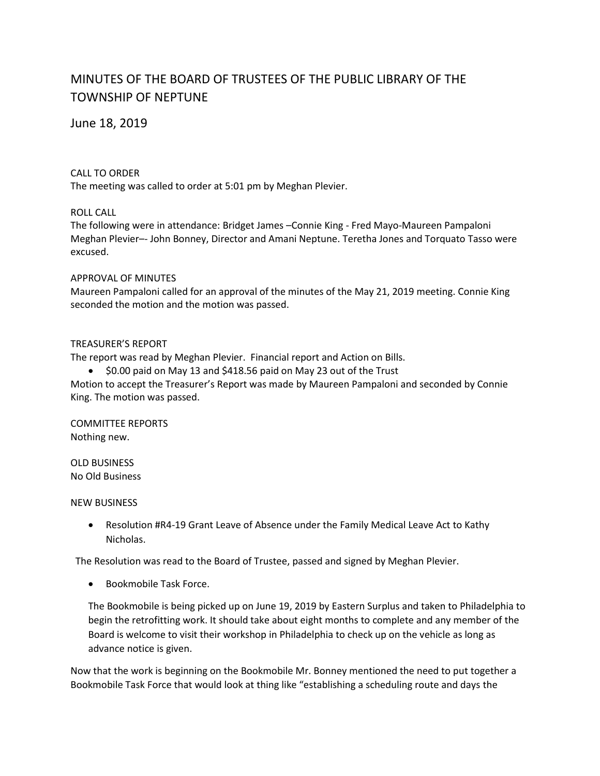# MINUTES OF THE BOARD OF TRUSTEES OF THE PUBLIC LIBRARY OF THE TOWNSHIP OF NEPTUNE

June 18, 2019

#### CALL TO ORDER

The meeting was called to order at 5:01 pm by Meghan Plevier.

### ROLL CALL

The following were in attendance: Bridget James –Connie King - Fred Mayo-Maureen Pampaloni Meghan Plevier–- John Bonney, Director and Amani Neptune. Teretha Jones and Torquato Tasso were excused.

#### APPROVAL OF MINUTES

Maureen Pampaloni called for an approval of the minutes of the May 21, 2019 meeting. Connie King seconded the motion and the motion was passed.

#### TREASURER'S REPORT

The report was read by Meghan Plevier. Financial report and Action on Bills.

\$0.00 paid on May 13 and \$418.56 paid on May 23 out of the Trust

Motion to accept the Treasurer's Report was made by Maureen Pampaloni and seconded by Connie King. The motion was passed.

COMMITTEE REPORTS Nothing new.

OLD BUSINESS No Old Business

NEW BUSINESS

 Resolution #R4-19 Grant Leave of Absence under the Family Medical Leave Act to Kathy Nicholas.

The Resolution was read to the Board of Trustee, passed and signed by Meghan Plevier.

• Bookmobile Task Force.

The Bookmobile is being picked up on June 19, 2019 by Eastern Surplus and taken to Philadelphia to begin the retrofitting work. It should take about eight months to complete and any member of the Board is welcome to visit their workshop in Philadelphia to check up on the vehicle as long as advance notice is given.

Now that the work is beginning on the Bookmobile Mr. Bonney mentioned the need to put together a Bookmobile Task Force that would look at thing like "establishing a scheduling route and days the